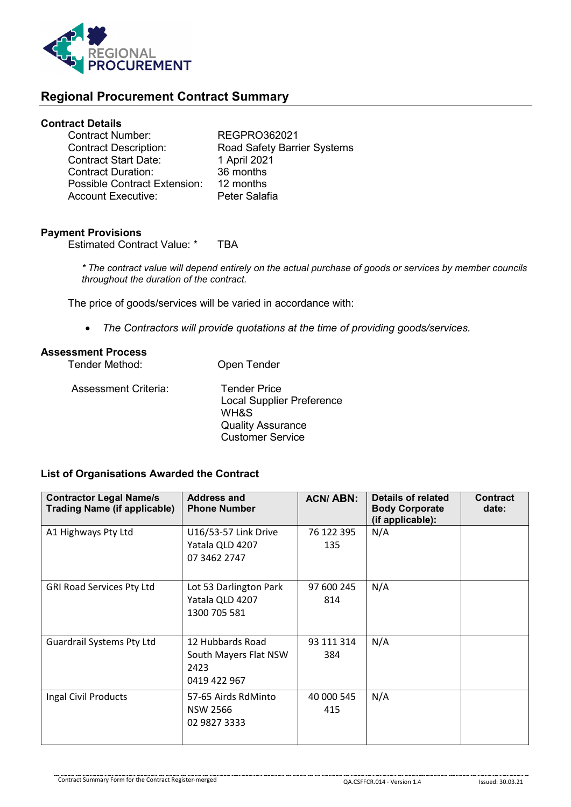

# **Regional Procurement Contract Summary**

## **Contract Details**

| <b>Road Safety Barrier Systems</b> |
|------------------------------------|
|                                    |
|                                    |
|                                    |
|                                    |
|                                    |

#### **Payment Provisions**

Estimated Contract Value: \* TBA

*\* The contract value will depend entirely on the actual purchase of goods or services by member councils throughout the duration of the contract.*

The price of goods/services will be varied in accordance with:

• *The Contractors will provide quotations at the time of providing goods/services.*

Customer Service

## **Assessment Process**

| Tender Method:       | Open Tender                                                                                 |
|----------------------|---------------------------------------------------------------------------------------------|
| Assessment Criteria: | <b>Tender Price</b><br><b>Local Supplier Preference</b><br>WH&S<br><b>Quality Assurance</b> |

### **List of Organisations Awarded the Contract**

| <b>Contractor Legal Name/s</b><br><b>Trading Name (if applicable)</b> | <b>Address and</b><br><b>Phone Number</b>                         | <b>ACN/ABN:</b>   | Details of related<br><b>Body Corporate</b><br>(if applicable): | <b>Contract</b><br>date: |
|-----------------------------------------------------------------------|-------------------------------------------------------------------|-------------------|-----------------------------------------------------------------|--------------------------|
| A1 Highways Pty Ltd                                                   | U16/53-57 Link Drive<br>Yatala QLD 4207<br>07 3462 2747           | 76 122 395<br>135 | N/A                                                             |                          |
| <b>GRI Road Services Pty Ltd</b>                                      | Lot 53 Darlington Park<br>Yatala QLD 4207<br>1300 705 581         | 97 600 245<br>814 | N/A                                                             |                          |
| <b>Guardrail Systems Pty Ltd</b>                                      | 12 Hubbards Road<br>South Mayers Flat NSW<br>2423<br>0419 422 967 | 93 111 314<br>384 | N/A                                                             |                          |
| Ingal Civil Products                                                  | 57-65 Airds RdMinto<br><b>NSW 2566</b><br>02 9827 3333            | 40 000 545<br>415 | N/A                                                             |                          |